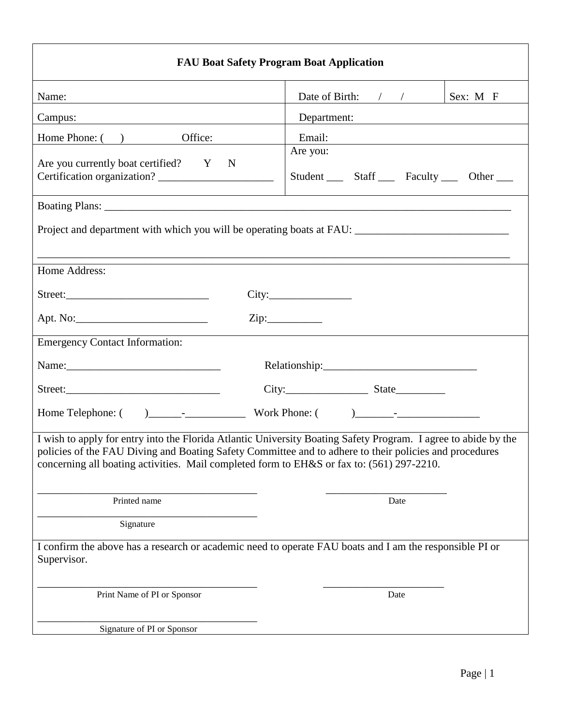| <b>FAU Boat Safety Program Boat Application</b>                                           |                                                                                                                                                                                                                          |  |  |  |  |
|-------------------------------------------------------------------------------------------|--------------------------------------------------------------------------------------------------------------------------------------------------------------------------------------------------------------------------|--|--|--|--|
| Name:                                                                                     | Date of Birth: $\frac{1}{2}$<br>Sex: M F                                                                                                                                                                                 |  |  |  |  |
| Campus:                                                                                   | Department:                                                                                                                                                                                                              |  |  |  |  |
| Home Phone: ( ) Office:                                                                   | Email:                                                                                                                                                                                                                   |  |  |  |  |
| Are you currently boat certified? Y<br>$\mathbf N$                                        | Are you:<br>Student _____ Staff ______ Faculty ______ Other _____                                                                                                                                                        |  |  |  |  |
|                                                                                           |                                                                                                                                                                                                                          |  |  |  |  |
|                                                                                           | Project and department with which you will be operating boats at FAU: ______________________________                                                                                                                     |  |  |  |  |
| Home Address:                                                                             |                                                                                                                                                                                                                          |  |  |  |  |
|                                                                                           |                                                                                                                                                                                                                          |  |  |  |  |
|                                                                                           | $\overline{\text{Zip:}}$                                                                                                                                                                                                 |  |  |  |  |
| <b>Emergency Contact Information:</b>                                                     |                                                                                                                                                                                                                          |  |  |  |  |
|                                                                                           |                                                                                                                                                                                                                          |  |  |  |  |
|                                                                                           | $City:$ State                                                                                                                                                                                                            |  |  |  |  |
|                                                                                           |                                                                                                                                                                                                                          |  |  |  |  |
| concerning all boating activities. Mail completed form to EH&S or fax to: (561) 297-2210. | I wish to apply for entry into the Florida Atlantic University Boating Safety Program. I agree to abide by the<br>policies of the FAU Diving and Boating Safety Committee and to adhere to their policies and procedures |  |  |  |  |
| Printed name                                                                              | Date                                                                                                                                                                                                                     |  |  |  |  |
| Signature                                                                                 |                                                                                                                                                                                                                          |  |  |  |  |
| Supervisor.                                                                               | I confirm the above has a research or academic need to operate FAU boats and I am the responsible PI or                                                                                                                  |  |  |  |  |
| Print Name of PI or Sponsor                                                               | Date                                                                                                                                                                                                                     |  |  |  |  |
| Signature of PI or Sponsor                                                                |                                                                                                                                                                                                                          |  |  |  |  |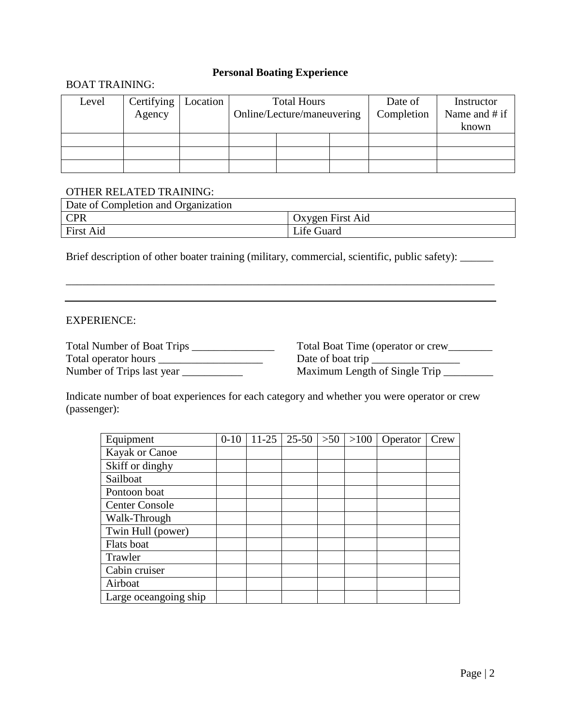# **Personal Boating Experience**

## BOAT TRAINING:

| Level | Certifying<br>Agency | Location | <b>Total Hours</b><br>Online/Lecture/maneuvering |  | Date of<br>Completion | Instructor<br>Name and $#$ if |       |
|-------|----------------------|----------|--------------------------------------------------|--|-----------------------|-------------------------------|-------|
|       |                      |          |                                                  |  |                       |                               | known |
|       |                      |          |                                                  |  |                       |                               |       |
|       |                      |          |                                                  |  |                       |                               |       |
|       |                      |          |                                                  |  |                       |                               |       |

#### OTHER RELATED TRAINING:

| Date of Completion and Organization |                         |
|-------------------------------------|-------------------------|
| <b>CPR</b>                          | <b>Oxygen First Aid</b> |
| <b>First Aid</b>                    | Life Guard              |

Brief description of other boater training (military, commercial, scientific, public safety): \_\_\_\_\_\_

\_\_\_\_\_\_\_\_\_\_\_\_\_\_\_\_\_\_\_\_\_\_\_\_\_\_\_\_\_\_\_\_\_\_\_\_\_\_\_\_\_\_\_\_\_\_\_\_\_\_\_\_\_\_\_\_\_\_\_\_\_\_\_\_\_\_\_\_\_\_\_\_\_\_\_\_\_\_

### EXPERIENCE:

| <b>Total Number of Boat Trips</b> |
|-----------------------------------|
| Total operator hours              |
| Number of Trips last year         |

Total Boat Time (operator or crew\_\_\_\_\_\_\_\_ Date of boat trip  $\Box$ Maximum Length of Single Trip \_\_\_\_\_\_\_\_

Indicate number of boat experiences for each category and whether you were operator or crew (passenger):

| Equipment             | $0 - 10$ | $11-25$ | $25 - 50$ | >50 | $>100$ | Operator | Crew |
|-----------------------|----------|---------|-----------|-----|--------|----------|------|
| Kayak or Canoe        |          |         |           |     |        |          |      |
| Skiff or dinghy       |          |         |           |     |        |          |      |
| Sailboat              |          |         |           |     |        |          |      |
| Pontoon boat          |          |         |           |     |        |          |      |
| <b>Center Console</b> |          |         |           |     |        |          |      |
| Walk-Through          |          |         |           |     |        |          |      |
| Twin Hull (power)     |          |         |           |     |        |          |      |
| Flats boat            |          |         |           |     |        |          |      |
| Trawler               |          |         |           |     |        |          |      |
| Cabin cruiser         |          |         |           |     |        |          |      |
| Airboat               |          |         |           |     |        |          |      |
| Large oceangoing ship |          |         |           |     |        |          |      |